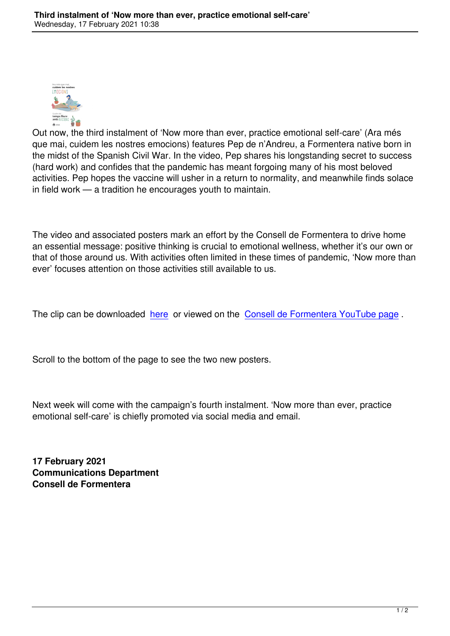

Out now, the third instalment of 'Now more than ever, practice emotional self-care' (Ara més que mai, cuidem les nostres emocions) features Pep de n'Andreu, a Formentera native born in the midst of the Spanish Civil War. In the video, Pep shares his longstanding secret to success (hard work) and confides that the pandemic has meant forgoing many of his most beloved activities. Pep hopes the vaccine will usher in a return to normality, and meanwhile finds solace in field work — a tradition he encourages youth to maintain.

The video and associated posters mark an effort by the Consell de Formentera to drive home an essential message: positive thinking is crucial to emotional wellness, whether it's our own or that of those around us. With activities often limited in these times of pandemic, 'Now more than ever' focuses attention on those activities still available to us.

The clip can be downloaded here or viewed on the Consell de Formentera YouTube page.

Scroll to the bottom of the pa[ge to](%20https:/wetransfer.com/downloads/e05f55dbdf70b52dce61bca995c2801520210216182002/cae6462a5a6425664fe7f02e128045f720210216182018/e33a83) see the two new p[osters.](https://youtu.be/ShaAWwe17Dk)

Next week will come with the campaign's fourth instalment. 'Now more than ever, practice emotional self-care' is chiefly promoted via social media and email.

**17 February 2021 Communications Department Consell de Formentera**